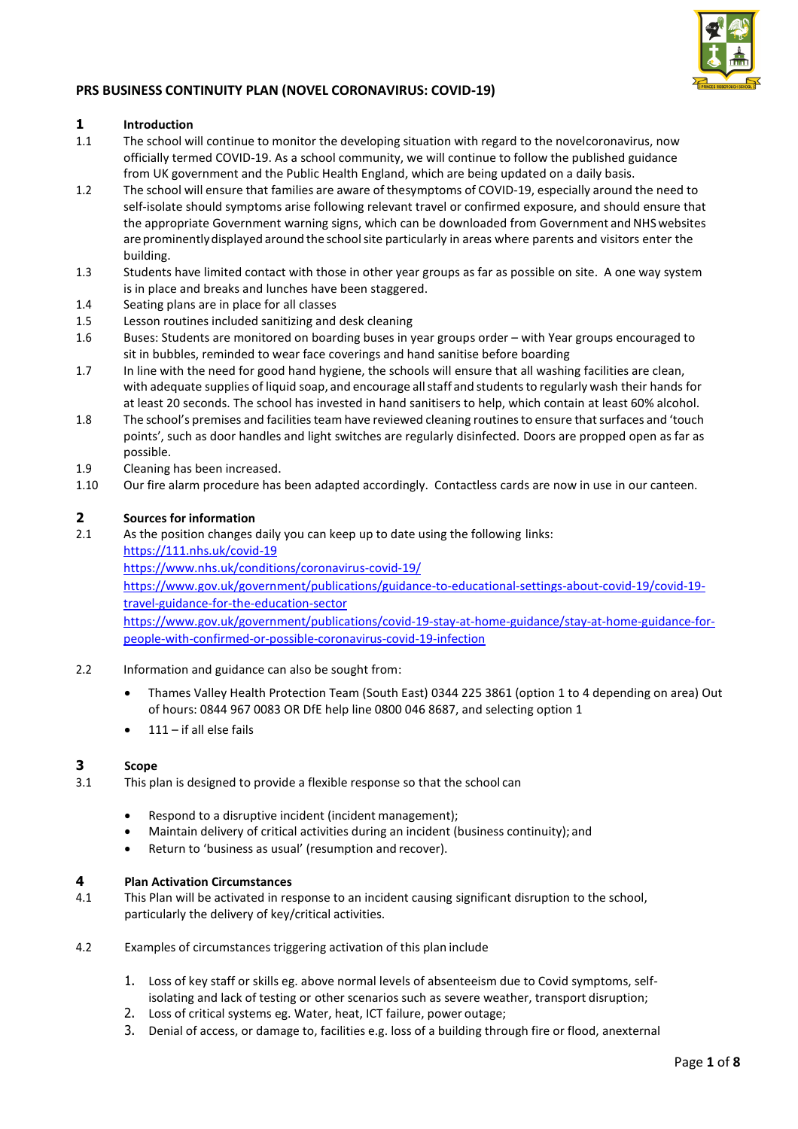

### **PRS BUSINESS CONTINUITY PLAN (NOVEL CORONAVIRUS: COVID-19)**

### **1 Introduction**<br>**1.1 The school w**

- The school will continue to monitor the developing situation with regard to the novelcoronavirus, now officially termed COVID-19. As a school community, we will continue to follow the published guidance from UK government and the Public Health England, which are being updated on a daily basis.
- 1.2 The school will ensure that families are aware of thesymptoms of COVID-19, especially around the need to self-isolate should symptoms arise following relevant travel or confirmed exposure, and should ensure that the appropriate Government warning signs, which can be downloaded from Government and NHS websites are prominently displayed around the school site particularly in areas where parents and visitors enter the building.
- 1.3 Students have limited contact with those in other year groups as far as possible on site. A one way system is in place and breaks and lunches have been staggered.
- 1.4 Seating plans are in place for all classes
- 1.5 Lesson routines included sanitizing and desk cleaning
- 1.6 Buses: Students are monitored on boarding buses in year groups order with Year groups encouraged to sit in bubbles, reminded to wear face coverings and hand sanitise before boarding
- 1.7 In line with the need for good hand hygiene, the schools will ensure that all washing facilities are clean, with adequate supplies of liquid soap, and encourage all staff and students to regularly wash their hands for at least 20 seconds. The school has invested in hand sanitisers to help, which contain at least 60% alcohol.
- 1.8 The school's premises and facilities team have reviewed cleaning routines to ensure that surfaces and 'touch points', such as door handles and light switches are regularly disinfected. Doors are propped open as far as possible.
- 1.9 Cleaning has been increased.
- 1.10 Our fire alarm procedure has been adapted accordingly. Contactless cards are now in use in our canteen.

### **2 Sources for information**

2.1 As the position changes daily you can keep up to date using the following links:

<https://111.nhs.uk/covid-19>

<https://www.nhs.uk/conditions/coronavirus-covid-19/>

[https://www.gov.uk/government/publications/guidance-to-educational-settings-about-covid-19/covid-19](https://www.gov.uk/government/publications/guidance-to-educational-settings-about-covid-19/covid-19-travel-guidance-for-the-education-sector) [travel-guidance-for-the-education-sector](https://www.gov.uk/government/publications/guidance-to-educational-settings-about-covid-19/covid-19-travel-guidance-for-the-education-sector)

[https://www.gov.uk/government/publications/covid-19-stay-at-home-guidance/stay-at-home-guidance-for](https://www.gov.uk/government/publications/covid-19-stay-at-home-guidance/stay-at-home-guidance-for-people-with-confirmed-or-possible-coronavirus-covid-19-infection)[people-with-confirmed-or-possible-coronavirus-covid-19-infection](https://www.gov.uk/government/publications/covid-19-stay-at-home-guidance/stay-at-home-guidance-for-people-with-confirmed-or-possible-coronavirus-covid-19-infection)

- 2.2 Information and guidance can also be sought from:
	- Thames Valley Health Protection Team (South East) 0344 225 3861 (option 1 to 4 depending on area) Out of hours: 0844 967 0083 OR DfE help line 0800 046 8687, and selecting option 1
	- 111 if all else fails

#### **3 Scope**

- 3.1 This plan is designed to provide a flexible response so that the school can
	- Respond to a disruptive incident (incident management);
	- Maintain delivery of critical activities during an incident (business continuity); and
	- Return to 'business as usual' (resumption and recover).

### **4 Plan Activation Circumstances**

- This Plan will be activated in response to an incident causing significant disruption to the school, particularly the delivery of key/critical activities.
- 4.2 Examples of circumstances triggering activation of this plan include
	- 1. Loss of key staff or skills eg. above normal levels of absenteeism due to Covid symptoms, selfisolating and lack of testing or other scenarios such as severe weather, transport disruption;
	- 2. Loss of critical systems eg. Water, heat, ICT failure, power outage;
	- 3. Denial of access, or damage to, facilities e.g. loss of a building through fire or flood, anexternal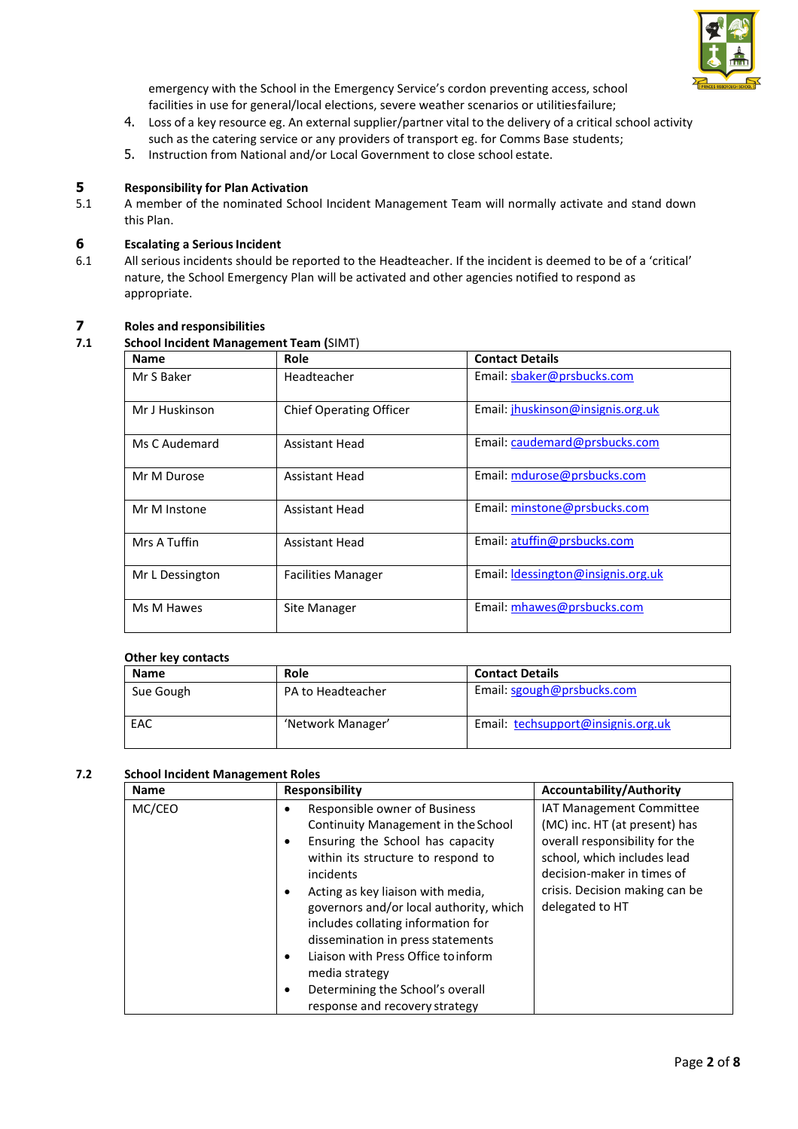

emergency with the School in the Emergency Service's cordon preventing access, school facilities in use for general/local elections, severe weather scenarios or utilitiesfailure;

- 4. Loss of a key resource eg. An external supplier/partner vital to the delivery of a critical school activity such as the catering service or any providers of transport eg. for Comms Base students;
- 5. Instruction from National and/or Local Government to close school estate.

## **5 Responsibility for Plan Activation**<br>**5.1** A member of the nominated Schc

5.1 A member of the nominated School Incident Management Team will normally activate and stand down this Plan.

# **6 Escalating a Serious Incident**<br>**6.1** All serious incidents should be

6.1 All serious incidents should be reported to the Headteacher. If the incident is deemed to be of a 'critical' nature, the School Emergency Plan will be activated and other agencies notified to respond as appropriate.

## **7 Roles and responsibilities**

#### **7.1 School Incident Management Team (**SIMT)

| <b>Name</b>     | Role                           | <b>Contact Details</b>             |
|-----------------|--------------------------------|------------------------------------|
| Mr S Baker      | Headteacher                    | Email: sbaker@prsbucks.com         |
| Mr J Huskinson  | <b>Chief Operating Officer</b> | Email: jhuskinson@insignis.org.uk  |
| Ms C Audemard   | Assistant Head                 | Email: caudemard@prsbucks.com      |
| Mr M Durose     | <b>Assistant Head</b>          | Email: mdurose@prsbucks.com        |
| Mr M Instone    | <b>Assistant Head</b>          | Email: minstone@prsbucks.com       |
| Mrs A Tuffin    | <b>Assistant Head</b>          | Email: atuffin@prsbucks.com        |
| Mr L Dessington | <b>Facilities Manager</b>      | Email: Idessington@insignis.org.uk |
| Ms M Hawes      | Site Manager                   | Email: mhawes@prsbucks.com         |

#### **Other key contacts**

| <b>Name</b> | Role              | <b>Contact Details</b>             |
|-------------|-------------------|------------------------------------|
| Sue Gough   | PA to Headteacher | Email: sgough@prsbucks.com         |
| EAC         | 'Network Manager' | Email: techsupport@insignis.org.uk |

#### **7.2 School Incident Management Roles**

| <b>Name</b> | Responsibility                                                                                                                                                                                                                                                                                                                                                                                                                                                            | <b>Accountability/Authority</b>                                                                                                                                                                               |  |
|-------------|---------------------------------------------------------------------------------------------------------------------------------------------------------------------------------------------------------------------------------------------------------------------------------------------------------------------------------------------------------------------------------------------------------------------------------------------------------------------------|---------------------------------------------------------------------------------------------------------------------------------------------------------------------------------------------------------------|--|
| MC/CEO      | Responsible owner of Business<br>Continuity Management in the School<br>Ensuring the School has capacity<br>٠<br>within its structure to respond to<br>incidents<br>Acting as key liaison with media,<br>٠<br>governors and/or local authority, which<br>includes collating information for<br>dissemination in press statements<br>Liaison with Press Office to inform<br>٠<br>media strategy<br>Determining the School's overall<br>٠<br>response and recovery strategy | IAT Management Committee<br>(MC) inc. HT (at present) has<br>overall responsibility for the<br>school, which includes lead<br>decision-maker in times of<br>crisis. Decision making can be<br>delegated to HT |  |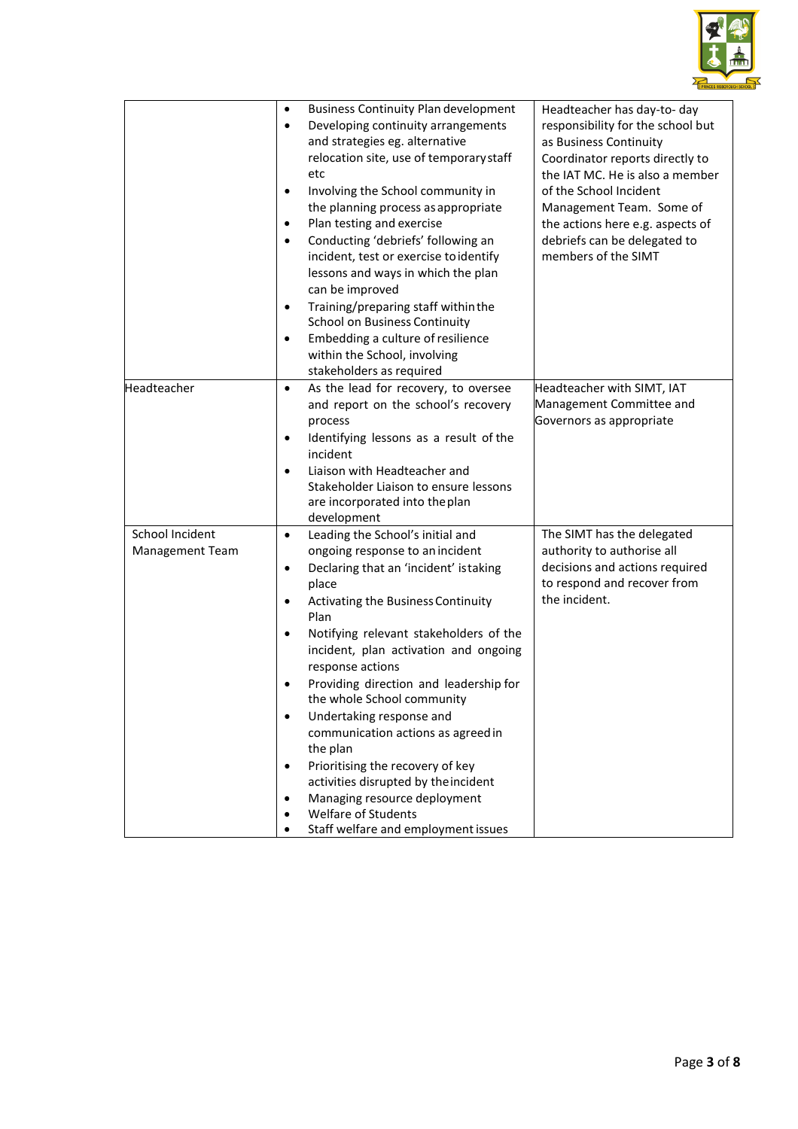

|                                           | <b>Business Continuity Plan development</b><br>٠<br>Developing continuity arrangements<br>$\bullet$<br>and strategies eg. alternative<br>relocation site, use of temporary staff<br>etc<br>Involving the School community in<br>$\bullet$<br>the planning process as appropriate<br>Plan testing and exercise<br>$\bullet$<br>Conducting 'debriefs' following an<br>$\bullet$<br>incident, test or exercise to identify<br>lessons and ways in which the plan<br>can be improved<br>Training/preparing staff within the<br>$\bullet$<br>School on Business Continuity<br>Embedding a culture of resilience<br>within the School, involving<br>stakeholders as required | Headteacher has day-to- day<br>responsibility for the school but<br>as Business Continuity<br>Coordinator reports directly to<br>the IAT MC. He is also a member<br>of the School Incident<br>Management Team. Some of<br>the actions here e.g. aspects of<br>debriefs can be delegated to<br>members of the SIMT |
|-------------------------------------------|------------------------------------------------------------------------------------------------------------------------------------------------------------------------------------------------------------------------------------------------------------------------------------------------------------------------------------------------------------------------------------------------------------------------------------------------------------------------------------------------------------------------------------------------------------------------------------------------------------------------------------------------------------------------|-------------------------------------------------------------------------------------------------------------------------------------------------------------------------------------------------------------------------------------------------------------------------------------------------------------------|
| Headteacher                               | As the lead for recovery, to oversee<br>$\bullet$<br>and report on the school's recovery<br>process<br>Identifying lessons as a result of the<br>٠<br>incident<br>Liaison with Headteacher and<br>$\bullet$<br>Stakeholder Liaison to ensure lessons<br>are incorporated into the plan<br>development                                                                                                                                                                                                                                                                                                                                                                  | Headteacher with SIMT, IAT<br>Management Committee and<br>Governors as appropriate                                                                                                                                                                                                                                |
| School Incident<br><b>Management Team</b> | Leading the School's initial and<br>$\bullet$<br>ongoing response to an incident<br>Declaring that an 'incident' istaking<br>$\bullet$<br>place<br>Activating the Business Continuity<br>$\bullet$<br>Plan<br>Notifying relevant stakeholders of the<br>incident, plan activation and ongoing<br>response actions<br>Providing direction and leadership for<br>the whole School community<br>Undertaking response and<br>communication actions as agreed in<br>the plan<br>Prioritising the recovery of key<br>$\bullet$<br>activities disrupted by the incident<br>Managing resource deployment<br><b>Welfare of Students</b><br>Staff welfare and employment issues  | The SIMT has the delegated<br>authority to authorise all<br>decisions and actions required<br>to respond and recover from<br>the incident.                                                                                                                                                                        |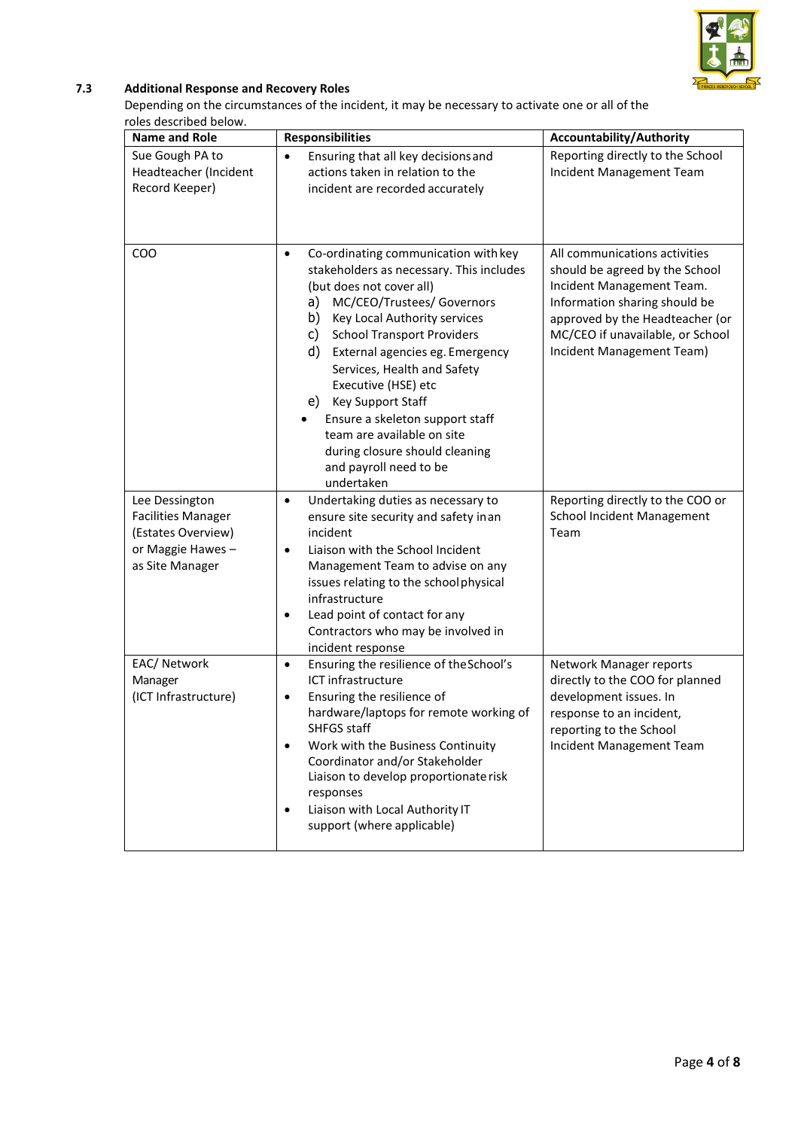

### **7.3 Additional Response and Recovery Roles**

Depending on the circumstances of the incident, it may be necessary to activate one or all of the roles described below.

| <b>Name and Role</b>                                                                                      | <b>Responsibilities</b>                                                                                                                                                                                                                                                                                                                                                                                                                                                                                          | <b>Accountability/Authority</b>                                                                                                                                                                                                   |
|-----------------------------------------------------------------------------------------------------------|------------------------------------------------------------------------------------------------------------------------------------------------------------------------------------------------------------------------------------------------------------------------------------------------------------------------------------------------------------------------------------------------------------------------------------------------------------------------------------------------------------------|-----------------------------------------------------------------------------------------------------------------------------------------------------------------------------------------------------------------------------------|
| Sue Gough PA to<br>Headteacher (Incident<br>Record Keeper)                                                | Ensuring that all key decisions and<br>$\bullet$<br>actions taken in relation to the<br>incident are recorded accurately                                                                                                                                                                                                                                                                                                                                                                                         | Reporting directly to the School<br>Incident Management Team                                                                                                                                                                      |
| COO                                                                                                       | Co-ordinating communication with key<br>$\bullet$<br>stakeholders as necessary. This includes<br>(but does not cover all)<br>MC/CEO/Trustees/ Governors<br>a)<br>Key Local Authority services<br>b)<br><b>School Transport Providers</b><br>C)<br>d)<br>External agencies eg. Emergency<br>Services, Health and Safety<br>Executive (HSE) etc<br>e) Key Support Staff<br>Ensure a skeleton support staff<br>team are available on site<br>during closure should cleaning<br>and payroll need to be<br>undertaken | All communications activities<br>should be agreed by the School<br>Incident Management Team.<br>Information sharing should be<br>approved by the Headteacher (or<br>MC/CEO if unavailable, or School<br>Incident Management Team) |
| Lee Dessington<br><b>Facilities Manager</b><br>(Estates Overview)<br>or Maggie Hawes -<br>as Site Manager | Undertaking duties as necessary to<br>$\bullet$<br>ensure site security and safety in an<br>incident<br>Liaison with the School Incident<br>٠<br>Management Team to advise on any<br>issues relating to the school physical<br>infrastructure<br>Lead point of contact for any<br>$\bullet$<br>Contractors who may be involved in<br>incident response                                                                                                                                                           | Reporting directly to the COO or<br><b>School Incident Management</b><br>Team                                                                                                                                                     |
| EAC/ Network<br>Manager<br>(ICT Infrastructure)                                                           | Ensuring the resilience of the School's<br>$\bullet$<br>ICT infrastructure<br>Ensuring the resilience of<br>$\bullet$<br>hardware/laptops for remote working of<br>SHFGS staff<br>Work with the Business Continuity<br>$\bullet$<br>Coordinator and/or Stakeholder<br>Liaison to develop proportionate risk<br>responses<br>Liaison with Local Authority IT<br>$\bullet$<br>support (where applicable)                                                                                                           | Network Manager reports<br>directly to the COO for planned<br>development issues. In<br>response to an incident,<br>reporting to the School<br>Incident Management Team                                                           |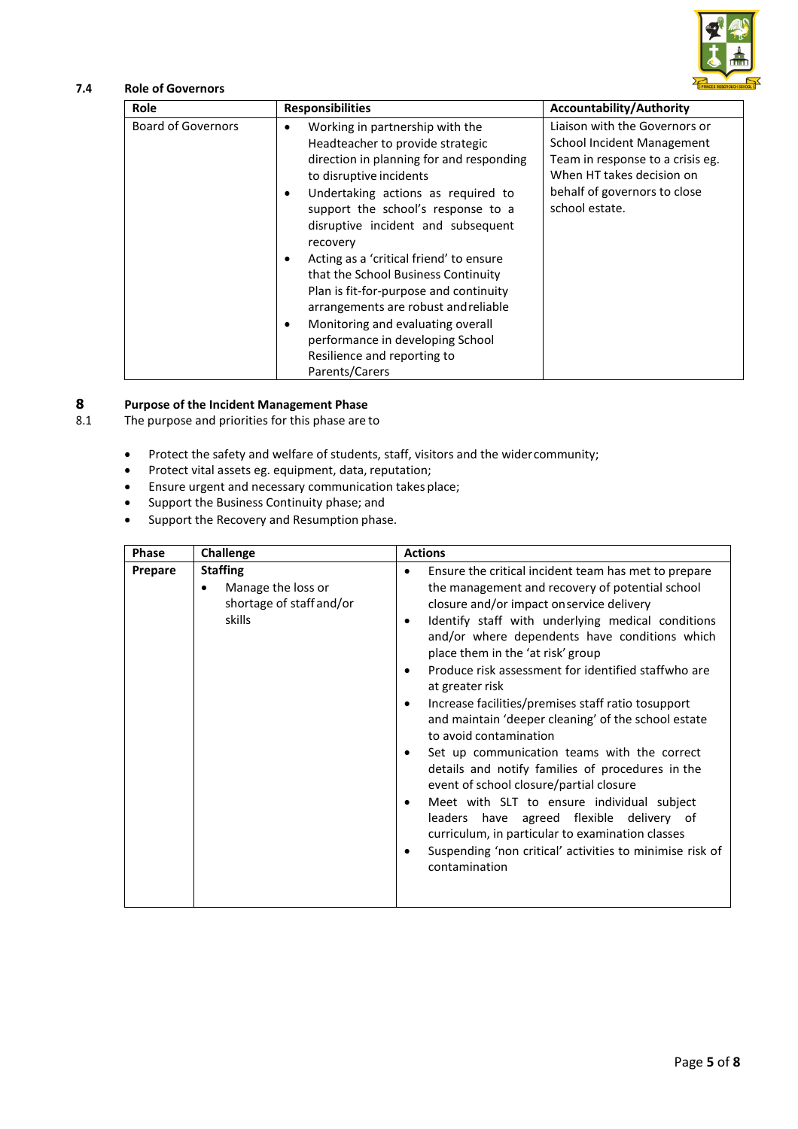

### **7.4 Role of Governors**

| Role                      | <b>Responsibilities</b>                                                                                                                                                                                                                                                                                                                                                                                                                                                                                                                                                                                            | <b>Accountability/Authority</b>                                                                                                                                                       |
|---------------------------|--------------------------------------------------------------------------------------------------------------------------------------------------------------------------------------------------------------------------------------------------------------------------------------------------------------------------------------------------------------------------------------------------------------------------------------------------------------------------------------------------------------------------------------------------------------------------------------------------------------------|---------------------------------------------------------------------------------------------------------------------------------------------------------------------------------------|
| <b>Board of Governors</b> | Working in partnership with the<br>$\bullet$<br>Headteacher to provide strategic<br>direction in planning for and responding<br>to disruptive incidents<br>Undertaking actions as required to<br>$\bullet$<br>support the school's response to a<br>disruptive incident and subsequent<br>recovery<br>Acting as a 'critical friend' to ensure<br>$\bullet$<br>that the School Business Continuity<br>Plan is fit-for-purpose and continuity<br>arrangements are robust and reliable<br>Monitoring and evaluating overall<br>٠<br>performance in developing School<br>Resilience and reporting to<br>Parents/Carers | Liaison with the Governors or<br><b>School Incident Management</b><br>Team in response to a crisis eg.<br>When HT takes decision on<br>behalf of governors to close<br>school estate. |

# **8 Purpose of the Incident Management Phase**

The purpose and priorities for this phase are to

- Protect the safety and welfare of students, staff, visitors and the widercommunity;
- Protect vital assets eg. equipment, data, reputation;
- Ensure urgent and necessary communication takes place;
- Support the Business Continuity phase; and
- Support the Recovery and Resumption phase.

| Phase   | Challenge                                                                                | <b>Actions</b>                                                                                                                                                                                                                                                                                                                                                                                                                                                                                                                                                                                                                                                                                                                                                                                                                                                                           |
|---------|------------------------------------------------------------------------------------------|------------------------------------------------------------------------------------------------------------------------------------------------------------------------------------------------------------------------------------------------------------------------------------------------------------------------------------------------------------------------------------------------------------------------------------------------------------------------------------------------------------------------------------------------------------------------------------------------------------------------------------------------------------------------------------------------------------------------------------------------------------------------------------------------------------------------------------------------------------------------------------------|
| Prepare | <b>Staffing</b><br>Manage the loss or<br>$\bullet$<br>shortage of staff and/or<br>skills | Ensure the critical incident team has met to prepare<br>the management and recovery of potential school<br>closure and/or impact onservice delivery<br>Identify staff with underlying medical conditions<br>and/or where dependents have conditions which<br>place them in the 'at risk' group<br>Produce risk assessment for identified staffwho are<br>at greater risk<br>Increase facilities/premises staff ratio tosupport<br>and maintain 'deeper cleaning' of the school estate<br>to avoid contamination<br>Set up communication teams with the correct<br>details and notify families of procedures in the<br>event of school closure/partial closure<br>Meet with SLT to ensure individual subject<br>leaders have agreed flexible delivery of<br>curriculum, in particular to examination classes<br>Suspending 'non critical' activities to minimise risk of<br>contamination |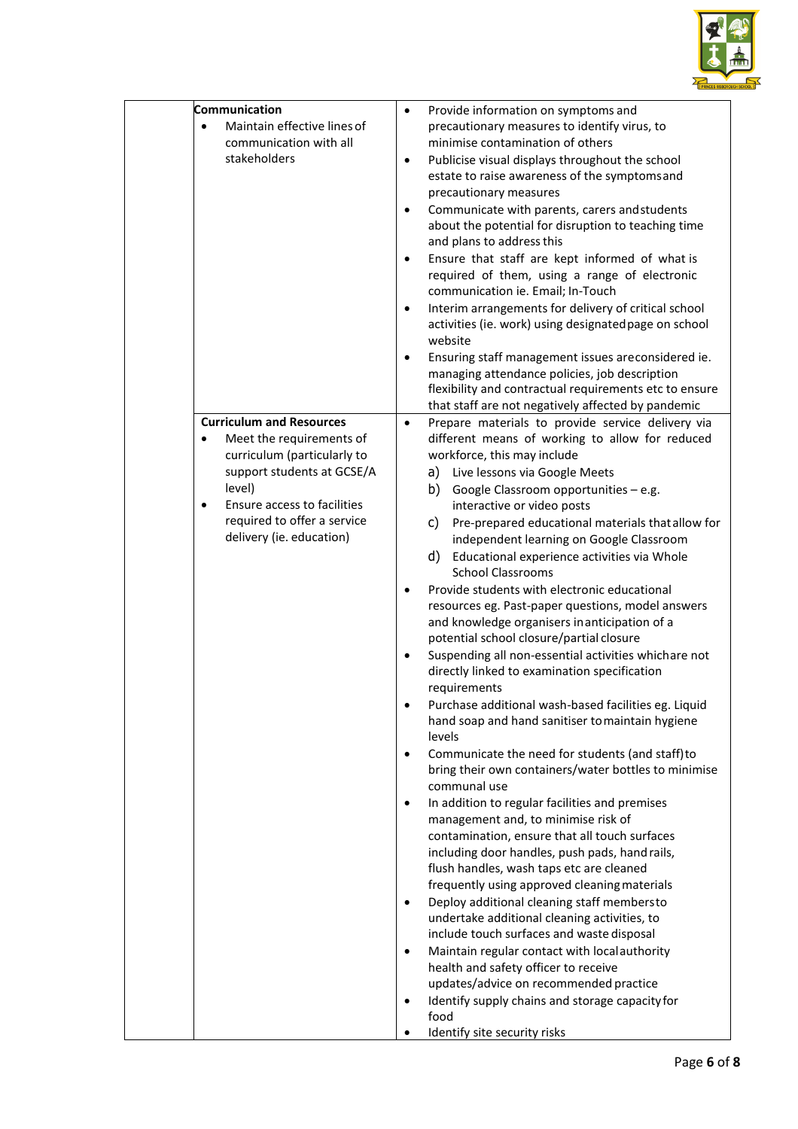

| Communication<br>Maintain effective lines of<br>$\bullet$<br>communication with all<br>stakeholders                                                                                                                                                    | Provide information on symptoms and<br>$\bullet$<br>precautionary measures to identify virus, to<br>minimise contamination of others<br>Publicise visual displays throughout the school<br>$\bullet$<br>estate to raise awareness of the symptomsand<br>precautionary measures<br>Communicate with parents, carers and students<br>$\bullet$<br>about the potential for disruption to teaching time<br>and plans to address this<br>Ensure that staff are kept informed of what is<br>$\bullet$<br>required of them, using a range of electronic<br>communication ie. Email; In-Touch<br>Interim arrangements for delivery of critical school<br>$\bullet$<br>activities (ie. work) using designated page on school<br>website<br>Ensuring staff management issues areconsidered ie.<br>$\bullet$<br>managing attendance policies, job description<br>flexibility and contractual requirements etc to ensure                                                                                                                                                                                                                                                                                                                                                                                                                                                                                                                                                                                                                                                                                                                                                                                                                                                                                              |
|--------------------------------------------------------------------------------------------------------------------------------------------------------------------------------------------------------------------------------------------------------|-----------------------------------------------------------------------------------------------------------------------------------------------------------------------------------------------------------------------------------------------------------------------------------------------------------------------------------------------------------------------------------------------------------------------------------------------------------------------------------------------------------------------------------------------------------------------------------------------------------------------------------------------------------------------------------------------------------------------------------------------------------------------------------------------------------------------------------------------------------------------------------------------------------------------------------------------------------------------------------------------------------------------------------------------------------------------------------------------------------------------------------------------------------------------------------------------------------------------------------------------------------------------------------------------------------------------------------------------------------------------------------------------------------------------------------------------------------------------------------------------------------------------------------------------------------------------------------------------------------------------------------------------------------------------------------------------------------------------------------------------------------------------------------------------------------|
| <b>Curriculum and Resources</b><br>Meet the requirements of<br>$\bullet$<br>curriculum (particularly to<br>support students at GCSE/A<br>level)<br>Ensure access to facilities<br>$\bullet$<br>required to offer a service<br>delivery (ie. education) | that staff are not negatively affected by pandemic<br>Prepare materials to provide service delivery via<br>$\bullet$<br>different means of working to allow for reduced<br>workforce, this may include<br>a) Live lessons via Google Meets<br>b)<br>Google Classroom opportunities - e.g.<br>interactive or video posts<br>Pre-prepared educational materials that allow for<br>C)<br>independent learning on Google Classroom<br>d)<br>Educational experience activities via Whole<br><b>School Classrooms</b><br>Provide students with electronic educational<br>$\bullet$<br>resources eg. Past-paper questions, model answers<br>and knowledge organisers inanticipation of a<br>potential school closure/partial closure<br>Suspending all non-essential activities whichare not<br>$\bullet$<br>directly linked to examination specification<br>requirements<br>Purchase additional wash-based facilities eg. Liquid<br>hand soap and hand sanitiser to maintain hygiene<br>levels<br>Communicate the need for students (and staff) to<br>bring their own containers/water bottles to minimise<br>communal use<br>In addition to regular facilities and premises<br>$\bullet$<br>management and, to minimise risk of<br>contamination, ensure that all touch surfaces<br>including door handles, push pads, hand rails,<br>flush handles, wash taps etc are cleaned<br>frequently using approved cleaning materials<br>Deploy additional cleaning staff membersto<br>$\bullet$<br>undertake additional cleaning activities, to<br>include touch surfaces and waste disposal<br>Maintain regular contact with local authority<br>$\bullet$<br>health and safety officer to receive<br>updates/advice on recommended practice<br>Identify supply chains and storage capacity for<br>$\bullet$<br>food |
|                                                                                                                                                                                                                                                        | Identify site security risks<br>٠                                                                                                                                                                                                                                                                                                                                                                                                                                                                                                                                                                                                                                                                                                                                                                                                                                                                                                                                                                                                                                                                                                                                                                                                                                                                                                                                                                                                                                                                                                                                                                                                                                                                                                                                                                         |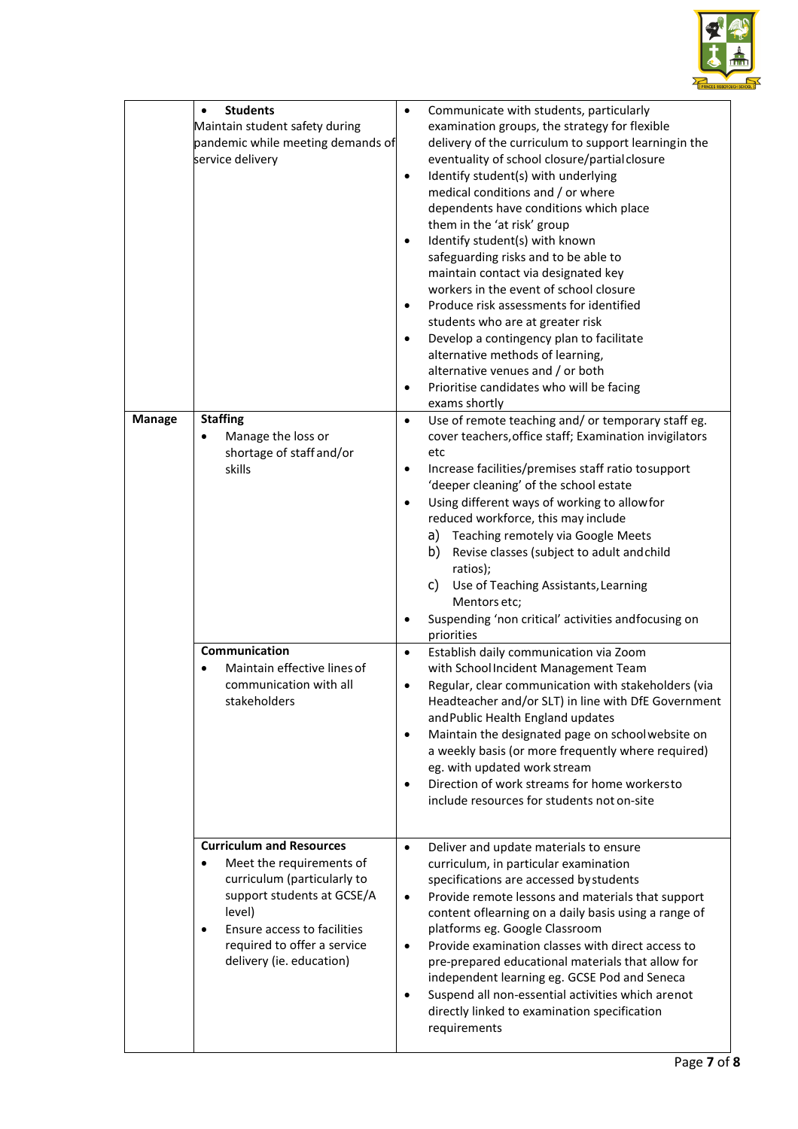

|               | <b>Students</b><br>$\bullet$<br>Maintain student safety during<br>pandemic while meeting demands of<br>service delivery                                                                                                                   | $\bullet$<br>$\bullet$<br>$\bullet$<br>$\bullet$<br>$\bullet$<br>$\bullet$                           | Communicate with students, particularly<br>examination groups, the strategy for flexible<br>delivery of the curriculum to support learningin the<br>eventuality of school closure/partial closure<br>Identify student(s) with underlying<br>medical conditions and / or where<br>dependents have conditions which place<br>them in the 'at risk' group<br>Identify student(s) with known<br>safeguarding risks and to be able to<br>maintain contact via designated key<br>workers in the event of school closure<br>Produce risk assessments for identified<br>students who are at greater risk<br>Develop a contingency plan to facilitate<br>alternative methods of learning,<br>alternative venues and / or both<br>Prioritise candidates who will be facing<br>exams shortly                                                                                                                                                                                                                                                      |
|---------------|-------------------------------------------------------------------------------------------------------------------------------------------------------------------------------------------------------------------------------------------|------------------------------------------------------------------------------------------------------|----------------------------------------------------------------------------------------------------------------------------------------------------------------------------------------------------------------------------------------------------------------------------------------------------------------------------------------------------------------------------------------------------------------------------------------------------------------------------------------------------------------------------------------------------------------------------------------------------------------------------------------------------------------------------------------------------------------------------------------------------------------------------------------------------------------------------------------------------------------------------------------------------------------------------------------------------------------------------------------------------------------------------------------|
| <b>Manage</b> | <b>Staffing</b><br>Manage the loss or<br>shortage of staff and/or<br>skills<br>Communication<br>Maintain effective lines of<br>communication with all<br>stakeholders                                                                     | $\bullet$<br>$\bullet$<br>$\bullet$<br>$\bullet$<br>$\bullet$<br>$\bullet$<br>$\bullet$<br>$\bullet$ | Use of remote teaching and/ or temporary staff eg.<br>cover teachers, office staff; Examination invigilators<br>etc<br>Increase facilities/premises staff ratio tosupport<br>'deeper cleaning' of the school estate<br>Using different ways of working to allowfor<br>reduced workforce, this may include<br>Teaching remotely via Google Meets<br>a)<br>Revise classes (subject to adult and child<br>b)<br>ratios);<br>C)<br>Use of Teaching Assistants, Learning<br>Mentors etc;<br>Suspending 'non critical' activities andfocusing on<br>priorities<br>Establish daily communication via Zoom<br>with School Incident Management Team<br>Regular, clear communication with stakeholders (via<br>Headteacher and/or SLT) in line with DfE Government<br>and Public Health England updates<br>Maintain the designated page on school website on<br>a weekly basis (or more frequently where required)<br>eg. with updated work stream<br>Direction of work streams for home workersto<br>include resources for students not on-site |
|               | <b>Curriculum and Resources</b><br>Meet the requirements of<br>curriculum (particularly to<br>support students at GCSE/A<br>level)<br>Ensure access to facilities<br>$\bullet$<br>required to offer a service<br>delivery (ie. education) | $\bullet$<br>$\bullet$<br>$\bullet$<br>$\bullet$                                                     | Deliver and update materials to ensure<br>curriculum, in particular examination<br>specifications are accessed by students<br>Provide remote lessons and materials that support<br>content oflearning on a daily basis using a range of<br>platforms eg. Google Classroom<br>Provide examination classes with direct access to<br>pre-prepared educational materials that allow for<br>independent learning eg. GCSE Pod and Seneca<br>Suspend all non-essential activities which arenot<br>directly linked to examination specification<br>requirements                                                                                                                                                                                                                                                                                                                                                                                                                                                                               |